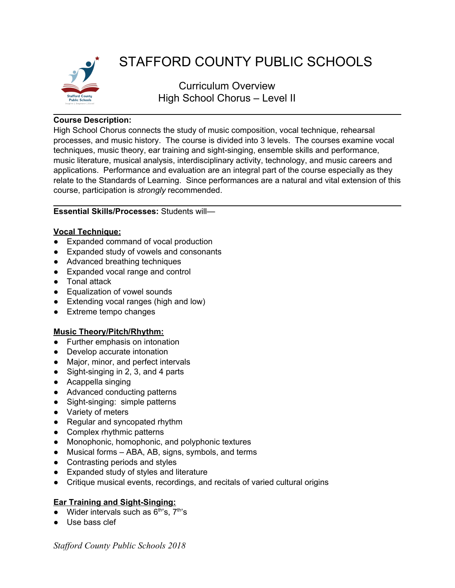

# STAFFORD COUNTY PUBLIC SCHOOLS

Curriculum Overview High School Chorus – Level II

# **Course Description:**

High School Chorus connects the study of music composition, vocal technique, rehearsal processes, and music history. The course is divided into 3 levels. The courses examine vocal techniques, music theory, ear training and sight-singing, ensemble skills and performance, music literature, musical analysis, interdisciplinary activity, technology, and music careers and applications. Performance and evaluation are an integral part of the course especially as they relate to the Standards of Learning. Since performances are a natural and vital extension of this course, participation is *strongly* recommended.

### **Essential Skills/Processes:** Students will—

# **Vocal Technique:**

- Expanded command of vocal production
- Expanded study of vowels and consonants
- Advanced breathing techniques
- Expanded vocal range and control
- Tonal attack
- Equalization of vowel sounds
- Extending vocal ranges (high and low)
- Extreme tempo changes

#### **Music Theory/Pitch/Rhythm:**

- Further emphasis on intonation
- Develop accurate intonation
- Major, minor, and perfect intervals
- Sight-singing in 2, 3, and 4 parts
- Acappella singing
- Advanced conducting patterns
- Sight-singing: simple patterns
- Variety of meters
- Regular and syncopated rhythm
- Complex rhythmic patterns
- Monophonic, homophonic, and polyphonic textures
- Musical forms ABA, AB, signs, symbols, and terms
- Contrasting periods and styles
- Expanded study of styles and literature
- Critique musical events, recordings, and recitals of varied cultural origins

#### **Ear Training and Sight-Singing:**

- Wider intervals such as  $6<sup>th</sup>$ 's,  $7<sup>th</sup>$ 's
- Use bass clef